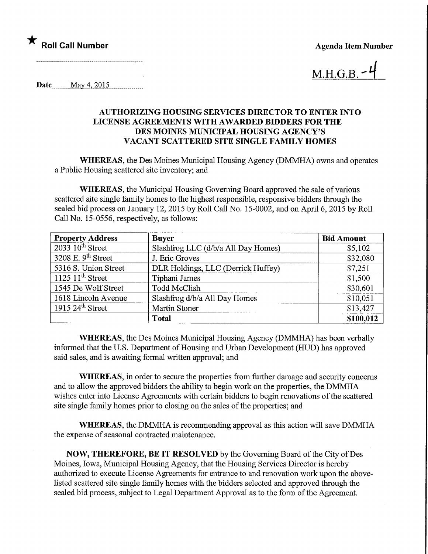## Roll Call Number

Agenda Item Number

 $M.H.G.B.$ 

Date........May4,20\_15,

### AUTHORIZING HOUSING SERVICES DIRECTOR TO ENTER INTO LICENSE AGREEMENTS WITH AWARDED BIDDERS FOR THE DES MOINES MUNICIPAL HOUSING AGENCY'S VACANT SCATTERED SITE SINGLE FAMILY HOMES

WHEREAS, the Des Moines Municipal Housing Agency (DMMHA) owns and operates a Public Housing scattered site inventory; and

WHEREAS, the Municipal Housing Governing Board approved the sale of various scattered site single family homes to the highest responsible, responsive bidders through the sealed bid process on January 12, 2015 by Roll Call No. 15-0002, and on April 6, 2015 by Roll Call No. 15-0556, respectively, as follows:

| <b>Property Address</b> | <b>Buyer</b>                        | <b>Bid Amount</b> |
|-------------------------|-------------------------------------|-------------------|
| $2033$ $10^{th}$ Street | Slashfrog LLC (d/b/a All Day Homes) | \$5,102           |
| 3208 E. $9th$ Street    | J. Eric Groves                      | \$32,080          |
| 5316 S. Union Street    | DLR Holdings, LLC (Derrick Huffey)  | \$7,251           |
| 1125 $11th$ Street      | Tiphani James                       | \$1,500           |
| 1545 De Wolf Street     | Todd McClish                        | \$30,601          |
| 1618 Lincoln Avenue     | Slashfrog d/b/a All Day Homes       | \$10,051          |
| 1915 $24th$ Street      | <b>Martin Stoner</b>                | \$13,427          |
|                         | <b>Total</b>                        | \$100,012         |

WHEREAS, the Des Moines Municipal Housing Agency (DMMHA) has been verbally informed that the U.S. Department of Housing and Urban Development (HUD) has approved said sales, and is awaiting formal written approval; and

WHEREAS, in order to secure the properties from further damage and security concerns and to allow the approved bidders the ability to begin work on the properties, the DMMHA wishes enter into License Agreements with certain bidders to begin renovations of the scattered site single family homes prior to closing on the sales of the properties; and

WHEREAS, the DMMHA is recommending approval as this action will save DMMHA the expense of seasonal contracted maintenance.

NOW, THEREFORE, BE IT RESOLVED by the Governing Board of the City of Des Moines, Iowa, Municipal Housing Agency, that the Housing Services Director is hereby authorized to execute License Agreements for entrance to and renovation work upon the abovelisted scattered site single family homes with the bidders selected and approved through the sealed bid process, subject to Legal Department Approval as to the form of the Agreement.